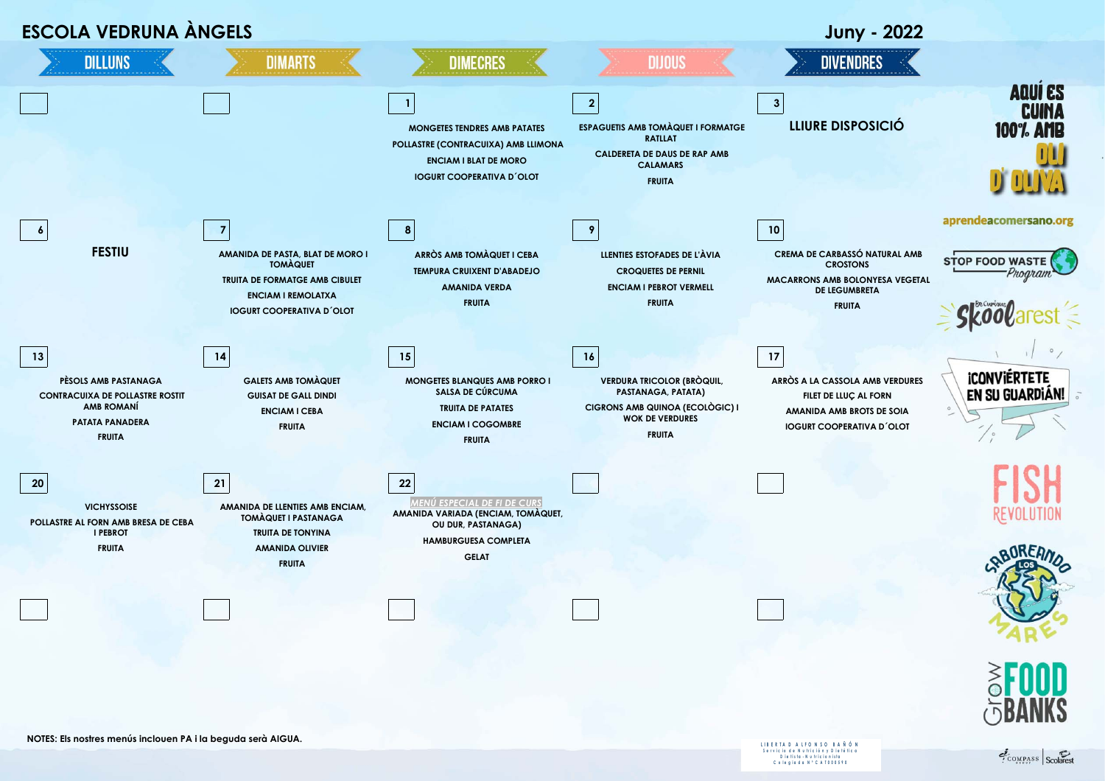

S e r vic io d e N u tric ión y D i e té tic a<br>D i e tis ta - N u tric ionista<br>C o l e gia d a N º C A T 0 0 0 5 9 0